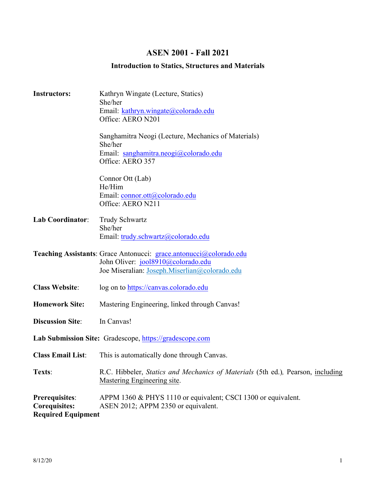# **ASEN 2001 - Fall 2021**

# **Introduction to Statics, Structures and Materials**

| <b>Instructors:</b>                                                 | Kathryn Wingate (Lecture, Statics)<br>She/her<br>Email: kathryn.wingate@colorado.edu                                                                      |  |  |
|---------------------------------------------------------------------|-----------------------------------------------------------------------------------------------------------------------------------------------------------|--|--|
|                                                                     | Office: AERO N201                                                                                                                                         |  |  |
|                                                                     | Sanghamitra Neogi (Lecture, Mechanics of Materials)<br>She/her<br>Email: sanghamitra.neogi@colorado.edu                                                   |  |  |
|                                                                     | Office: AERO 357                                                                                                                                          |  |  |
|                                                                     | Connor Ott (Lab)<br>He/Him<br>Email: connor.ott@colorado.edu                                                                                              |  |  |
|                                                                     | Office: AERO N211                                                                                                                                         |  |  |
| <b>Lab Coordinator:</b>                                             | <b>Trudy Schwartz</b><br>She/her                                                                                                                          |  |  |
|                                                                     | Email: trudy.schwartz@colorado.edu                                                                                                                        |  |  |
|                                                                     | Teaching Assistants: Grace Antonucci: grace.antonucci@colorado.edu<br>John Oliver: jool8910@colorado.edu<br>Joe Miseralian: Joseph.Miserlian@colorado.edu |  |  |
| <b>Class Website:</b>                                               | log on to https://canvas.colorado.edu                                                                                                                     |  |  |
| <b>Homework Site:</b>                                               | Mastering Engineering, linked through Canvas!                                                                                                             |  |  |
| <b>Discussion Site:</b>                                             | In Canvas!                                                                                                                                                |  |  |
| Lab Submission Site: Gradescope, https://gradescope.com             |                                                                                                                                                           |  |  |
| <b>Class Email List:</b>                                            | This is automatically done through Canvas.                                                                                                                |  |  |
| Texts:                                                              | R.C. Hibbeler, Statics and Mechanics of Materials (5th ed.), Pearson, including<br><b>Mastering Engineering site.</b>                                     |  |  |
| Prerequisites:<br><b>Corequisites:</b><br><b>Required Equipment</b> | APPM 1360 & PHYS 1110 or equivalent; CSCI 1300 or equivalent.<br>ASEN 2012; APPM 2350 or equivalent.                                                      |  |  |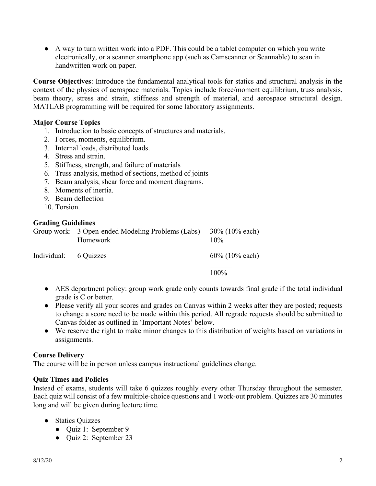● A way to turn written work into a PDF. This could be a tablet computer on which you write electronically, or a scanner smartphone app (such as Camscanner or Scannable) to scan in handwritten work on paper.

**Course Objectives**: Introduce the fundamental analytical tools for statics and structural analysis in the context of the physics of aerospace materials. Topics include force/moment equilibrium, truss analysis, beam theory, stress and strain, stiffness and strength of material, and aerospace structural design. MATLAB programming will be required for some laboratory assignments.

# **Major Course Topics**

- 1. Introduction to basic concepts of structures and materials.
- 2. Forces, moments, equilibrium.
- 3. Internal loads, distributed loads.
- 4. Stress and strain.
- 5. Stiffness, strength, and failure of materials
- 6. Truss analysis, method of sections, method of joints
- 7. Beam analysis, shear force and moment diagrams.
- 8. Moments of inertia.
- 9. Beam deflection
- 10. Torsion

#### **Grading Guidelines**

|                       | Group work: 3 Open-ended Modeling Problems (Labs)<br>Homework | $30\%$ (10% each)<br>$10\%$ |
|-----------------------|---------------------------------------------------------------|-----------------------------|
| Individual: 6 Quizzes |                                                               | $60\%$ (10% each)           |
|                       |                                                               | 100%                        |

- AES department policy: group work grade only counts towards final grade if the total individual grade is C or better.
- Please verify all your scores and grades on Canvas within 2 weeks after they are posted; requests to change a score need to be made within this period. All regrade requests should be submitted to Canvas folder as outlined in 'Important Notes' below.
- We reserve the right to make minor changes to this distribution of weights based on variations in assignments.

#### **Course Delivery**

The course will be in person unless campus instructional guidelines change.

#### **Quiz Times and Policies**

Instead of exams, students will take 6 quizzes roughly every other Thursday throughout the semester. Each quiz will consist of a few multiple-choice questions and 1 work-out problem. Quizzes are 30 minutes long and will be given during lecture time.

- Statics Quizzes
	- Quiz 1: September 9
	- Quiz 2: September 23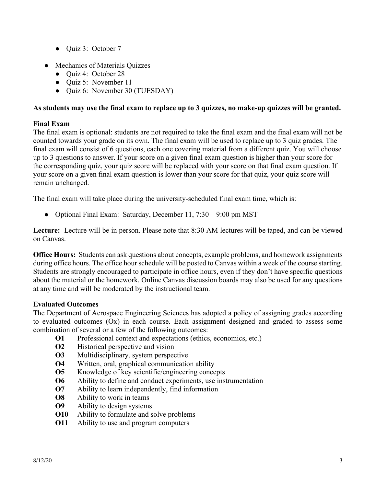- Quiz 3: October 7
- Mechanics of Materials Quizzes
	- Quiz 4: October 28
	- Ouiz 5: November 11
	- Quiz 6: November 30 (TUESDAY)

# **As students may use the final exam to replace up to 3 quizzes, no make-up quizzes will be granted.**

# **Final Exam**

The final exam is optional: students are not required to take the final exam and the final exam will not be counted towards your grade on its own. The final exam will be used to replace up to 3 quiz grades. The final exam will consist of 6 questions, each one covering material from a different quiz. You will choose up to 3 questions to answer. If your score on a given final exam question is higher than your score for the corresponding quiz, your quiz score will be replaced with your score on that final exam question. If your score on a given final exam question is lower than your score for that quiz, your quiz score will remain unchanged.

The final exam will take place during the university-scheduled final exam time, which is:

• Optional Final Exam: Saturday, December 11, 7:30 – 9:00 pm MST

**Lecture:** Lecture will be in person. Please note that 8:30 AM lectures will be taped, and can be viewed on Canvas.

**Office Hours:** Students can ask questions about concepts, example problems, and homework assignments during office hours. The office hour schedule will be posted to Canvas within a week of the course starting. Students are strongly encouraged to participate in office hours, even if they don't have specific questions about the material or the homework. Online Canvas discussion boards may also be used for any questions at any time and will be moderated by the instructional team.

# **Evaluated Outcomes**

The Department of Aerospace Engineering Sciences has adopted a policy of assigning grades according to evaluated outcomes (Ox) in each course. Each assignment designed and graded to assess some combination of several or a few of the following outcomes:

- **O1** Professional context and expectations (ethics, economics, etc.)
- **O2** Historical perspective and vision
- **O3** Multidisciplinary, system perspective
- **O4** Written, oral, graphical communication ability
- **O5** Knowledge of key scientific/engineering concepts
- **O6** Ability to define and conduct experiments, use instrumentation
- **O7** Ability to learn independently, find information
- **O8** Ability to work in teams
- **O9** Ability to design systems
- **O10** Ability to formulate and solve problems
- **O11** Ability to use and program computers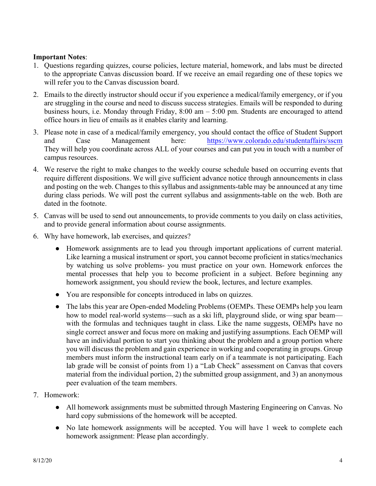# **Important Notes**:

- 1. Questions regarding quizzes, course policies, lecture material, homework, and labs must be directed to the appropriate Canvas discussion board. If we receive an email regarding one of these topics we will refer you to the Canvas discussion board.
- 2. Emails to the directly instructor should occur if you experience a medical/family emergency, or if you are struggling in the course and need to discuss success strategies. Emails will be responded to during business hours, i.e. Monday through Friday, 8:00 am – 5:00 pm. Students are encouraged to attend office hours in lieu of emails as it enables clarity and learning.
- 3. Please note in case of a medical/family emergency, you should contact the office of Student Support and Case Management here: https://www.colorado.edu/studentaffairs/sscm They will help you coordinate across ALL of your courses and can put you in touch with a number of campus resources.
- 4. We reserve the right to make changes to the weekly course schedule based on occurring events that require different dispositions. We will give sufficient advance notice through announcements in class and posting on the web. Changes to this syllabus and assignments-table may be announced at any time during class periods. We will post the current syllabus and assignments-table on the web. Both are dated in the footnote.
- 5. Canvas will be used to send out announcements, to provide comments to you daily on class activities, and to provide general information about course assignments.
- 6. Why have homework, lab exercises, and quizzes?
	- Homework assignments are to lead you through important applications of current material. Like learning a musical instrument or sport, you cannot become proficient in statics/mechanics by watching us solve problems- you must practice on your own. Homework enforces the mental processes that help you to become proficient in a subject. Before beginning any homework assignment, you should review the book, lectures, and lecture examples.
	- You are responsible for concepts introduced in labs on quizzes.
	- The labs this year are Open-ended Modeling Problems (OEMPs. These OEMPs help you learn how to model real-world systems—such as a ski lift, playground slide, or wing spar beam with the formulas and techniques taught in class. Like the name suggests, OEMPs have no single correct answer and focus more on making and justifying assumptions. Each OEMP will have an individual portion to start you thinking about the problem and a group portion where you will discuss the problem and gain experience in working and cooperating in groups. Group members must inform the instructional team early on if a teammate is not participating. Each lab grade will be consist of points from 1) a "Lab Check" assessment on Canvas that covers material from the individual portion, 2) the submitted group assignment, and 3) an anonymous peer evaluation of the team members.
- 7. Homework:
	- All homework assignments must be submitted through Mastering Engineering on Canvas. No hard copy submissions of the homework will be accepted.
	- No late homework assignments will be accepted. You will have 1 week to complete each homework assignment: Please plan accordingly.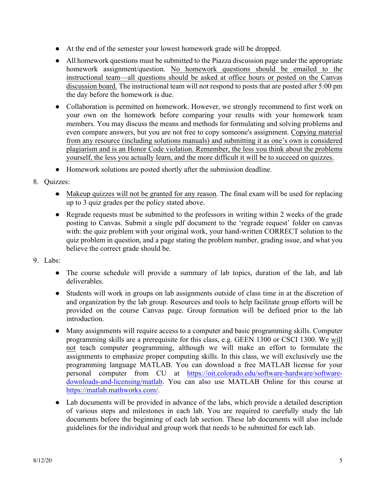- At the end of the semester your lowest homework grade will be dropped.
- All homework questions must be submitted to the Piazza discussion page under the appropriate homework assignment/question. No homework questions should be emailed to the instructional team—all questions should be asked at office hours or posted on the Canvas discussion board. The instructional team will not respond to posts that are posted after 5:00 pm the day before the homework is due.
- Collaboration is permitted on homework. However, we strongly recommend to first work on your own on the homework before comparing your results with your homework team members. You may discuss the means and methods for formulating and solving problems and even compare answers, but you are not free to copy someone's assignment. Copying material from any resource (including solutions manuals) and submitting it as one's own is considered plagiarism and is an Honor Code violation. Remember, the less you think about the problems yourself, the less you actually learn, and the more difficult it will be to succeed on quizzes.
- Homework solutions are posted shortly after the submission deadline.
- 8. Quizzes:
	- Makeup quizzes will not be granted for any reason. The final exam will be used for replacing up to 3 quiz grades per the policy stated above.
	- Regrade requests must be submitted to the professors in writing within 2 weeks of the grade posting to Canvas. Submit a single pdf document to the 'regrade request' folder on canvas with: the quiz problem with your original work, your hand-written CORRECT solution to the quiz problem in question, and a page stating the problem number, grading issue, and what you believe the correct grade should be.
- 9. Labs:
	- The course schedule will provide a summary of lab topics, duration of the lab, and lab deliverables.
	- Students will work in groups on lab assignments outside of class time in at the discretion of and organization by the lab group. Resources and tools to help facilitate group efforts will be provided on the course Canvas page. Group formation will be defined prior to the lab introduction.
	- Many assignments will require access to a computer and basic programming skills. Computer programming skills are a prerequisite for this class, e.g. GEEN 1300 or CSCI 1300. We will not teach computer programming, although we will make an effort to formulate the assignments to emphasize proper computing skills. In this class, we will exclusively use the programming language MATLAB. You can download a free MATLAB license for your personal computer from CU at https://oit.colorado.edu/software-hardware/softwaredownloads-and-licensing/matlab. You can also use MATLAB Online for this course at https://matlab.mathworks.com/.
	- Lab documents will be provided in advance of the labs, which provide a detailed description of various steps and milestones in each lab. You are required to carefully study the lab documents before the beginning of each lab section. These lab documents will also include guidelines for the individual and group work that needs to be submitted for each lab.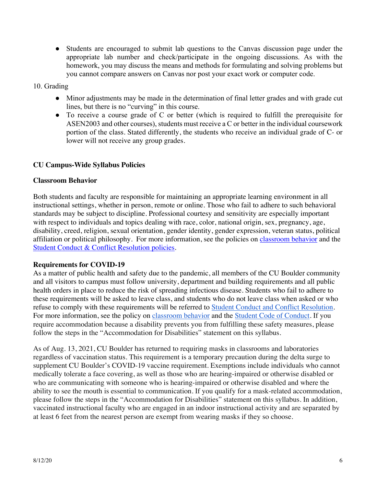● Students are encouraged to submit lab questions to the Canvas discussion page under the appropriate lab number and check/participate in the ongoing discussions. As with the homework, you may discuss the means and methods for formulating and solving problems but you cannot compare answers on Canvas nor post your exact work or computer code.

# 10. Grading

- Minor adjustments may be made in the determination of final letter grades and with grade cut lines, but there is no "curving" in this course.
- To receive a course grade of C or better (which is required to fulfill the prerequisite for ASEN2003 and other courses), students must receive a C or better in the individual coursework portion of the class. Stated differently, the students who receive an individual grade of C- or lower will not receive any group grades.

# **CU Campus-Wide Syllabus Policies**

#### **Classroom Behavior**

Both students and faculty are responsible for maintaining an appropriate learning environment in all instructional settings, whether in person, remote or online. Those who fail to adhere to such behavioral standards may be subject to discipline. Professional courtesy and sensitivity are especially important with respect to individuals and topics dealing with race, color, national origin, sex, pregnancy, age, disability, creed, religion, sexual orientation, gender identity, gender expression, veteran status, political affiliation or political philosophy. For more information, see the policies on classroom behavior and the Student Conduct & Conflict Resolution policies.

#### **Requirements for COVID-19**

As a matter of public health and safety due to the pandemic, all members of the CU Boulder community and all visitors to campus must follow university, department and building requirements and all public health orders in place to reduce the risk of spreading infectious disease. Students who fail to adhere to these requirements will be asked to leave class, and students who do not leave class when asked or who refuse to comply with these requirements will be referred to Student Conduct and Conflict Resolution. For more information, see the policy on classroom behavior and the Student Code of Conduct. If you require accommodation because a disability prevents you from fulfilling these safety measures, please follow the steps in the "Accommodation for Disabilities" statement on this syllabus.

As of Aug. 13, 2021, CU Boulder has returned to requiring masks in classrooms and laboratories regardless of vaccination status. This requirement is a temporary precaution during the delta surge to supplement CU Boulder's COVID-19 vaccine requirement. Exemptions include individuals who cannot medically tolerate a face covering, as well as those who are hearing-impaired or otherwise disabled or who are communicating with someone who is hearing-impaired or otherwise disabled and where the ability to see the mouth is essential to communication. If you qualify for a mask-related accommodation, please follow the steps in the "Accommodation for Disabilities" statement on this syllabus. In addition, vaccinated instructional faculty who are engaged in an indoor instructional activity and are separated by at least 6 feet from the nearest person are exempt from wearing masks if they so choose.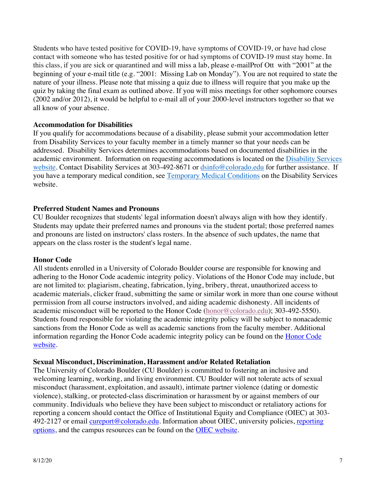Students who have tested positive for COVID-19, have symptoms of COVID-19, or have had close contact with someone who has tested positive for or had symptoms of COVID-19 must stay home. In this class, if you are sick or quarantined and will miss a lab, please e-mailProf Ott with "2001" at the beginning of your e-mail title (e.g. "2001: Missing Lab on Monday"). You are not required to state the nature of your illness. Please note that missing a quiz due to illness will require that you make up the quiz by taking the final exam as outlined above. If you will miss meetings for other sophomore courses (2002 and/or 2012), it would be helpful to e-mail all of your 2000-level instructors together so that we all know of your absence.

# **Accommodation for Disabilities**

If you qualify for accommodations because of a disability, please submit your accommodation letter from Disability Services to your faculty member in a timely manner so that your needs can be addressed. Disability Services determines accommodations based on documented disabilities in the academic environment. Information on requesting accommodations is located on the Disability Services website. Contact Disability Services at 303-492-8671 or dsinfo@colorado.edu for further assistance. If you have a temporary medical condition, see Temporary Medical Conditions on the Disability Services website.

# **Preferred Student Names and Pronouns**

CU Boulder recognizes that students' legal information doesn't always align with how they identify. Students may update their preferred names and pronouns via the student portal; those preferred names and pronouns are listed on instructors' class rosters. In the absence of such updates, the name that appears on the class roster is the student's legal name.

#### **Honor Code**

All students enrolled in a University of Colorado Boulder course are responsible for knowing and adhering to the Honor Code academic integrity policy. Violations of the Honor Code may include, but are not limited to: plagiarism, cheating, fabrication, lying, bribery, threat, unauthorized access to academic materials, clicker fraud, submitting the same or similar work in more than one course without permission from all course instructors involved, and aiding academic dishonesty. All incidents of academic misconduct will be reported to the Honor Code (honor@colorado.edu); 303-492-5550). Students found responsible for violating the academic integrity policy will be subject to nonacademic sanctions from the Honor Code as well as academic sanctions from the faculty member. Additional information regarding the Honor Code academic integrity policy can be found on the Honor Code website.

#### **Sexual Misconduct, Discrimination, Harassment and/or Related Retaliation**

The University of Colorado Boulder (CU Boulder) is committed to fostering an inclusive and welcoming learning, working, and living environment. CU Boulder will not tolerate acts of sexual misconduct (harassment, exploitation, and assault), intimate partner violence (dating or domestic violence), stalking, or protected-class discrimination or harassment by or against members of our community. Individuals who believe they have been subject to misconduct or retaliatory actions for reporting a concern should contact the Office of Institutional Equity and Compliance (OIEC) at 303- 492-2127 or email cureport@colorado.edu. Information about OIEC, university policies, reporting options, and the campus resources can be found on the OIEC website.